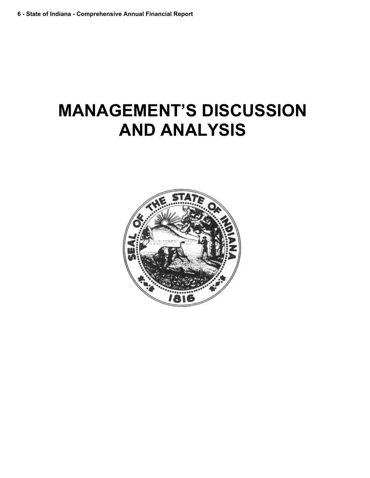# **MANAGEMENT'S DISCUSSION AND ANALYSIS**

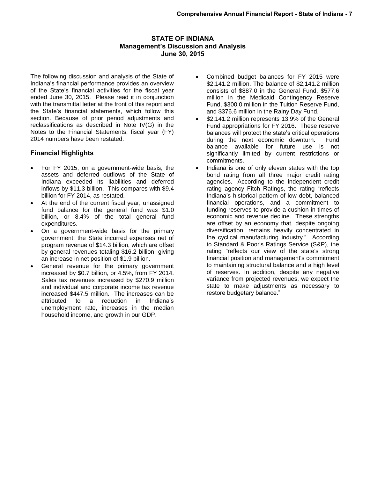## **STATE OF INDIANA Management's Discussion and Analysis June 30, 2015**

The following discussion and analysis of the State of Indiana's financial performance provides an overview of the State's financial activities for the fiscal year ended June 30, 2015. Please read it in conjunction with the transmittal letter at the front of this report and the State's financial statements, which follow this section. Because of prior period adjustments and reclassifications as described in Note IV(G) in the Notes to the Financial Statements, fiscal year (FY) 2014 numbers have been restated.

# **Financial Highlights**

- For FY 2015, on a government-wide basis, the assets and deferred outflows of the State of Indiana exceeded its liabilities and deferred inflows by \$11.3 billion. This compares with \$9.4 billion for FY 2014, as restated.
- At the end of the current fiscal year, unassigned fund balance for the general fund was \$1.0 billion, or 8.4% of the total general fund expenditures.
- On a government-wide basis for the primary government, the State incurred expenses net of program revenue of \$14.3 billion, which are offset by general revenues totaling \$16.2 billion, giving an increase in net position of \$1.9 billion.
- General revenue for the primary government increased by \$0.7 billion, or 4.5%, from FY 2014. Sales tax revenues increased by \$270.9 million and individual and corporate income tax revenue increased \$447.5 million. The increases can be attributed to a reduction in Indiana's unemployment rate, increases in the median household income, and growth in our GDP.
- Combined budget balances for FY 2015 were \$2,141.2 million. The balance of \$2,141.2 million consists of \$887.0 in the General Fund, \$577.6 million in the Medicaid Contingency Reserve Fund, \$300.0 million in the Tuition Reserve Fund, and \$376.6 million in the Rainy Day Fund.
- \$2,141.2 million represents 13.9% of the General Fund appropriations for FY 2016. These reserve balances will protect the state's critical operations during the next economic downturn. Fund balance available for future use is not significantly limited by current restrictions or commitments.
- Indiana is one of only eleven states with the top bond rating from all three major credit rating agencies. According to the independent credit rating agency Fitch Ratings, the rating "reflects Indiana's historical pattern of low debt, balanced financial operations, and a commitment to funding reserves to provide a cushion in times of economic and revenue decline. These strengths are offset by an economy that, despite ongoing diversification, remains heavily concentrated in the cyclical manufacturing industry." According to Standard & Poor's Ratings Service (S&P), the rating "reflects our view of the state's strong financial position and management's commitment to maintaining structural balance and a high level of reserves. In addition, despite any negative variance from projected revenues, we expect the state to make adjustments as necessary to restore budgetary balance."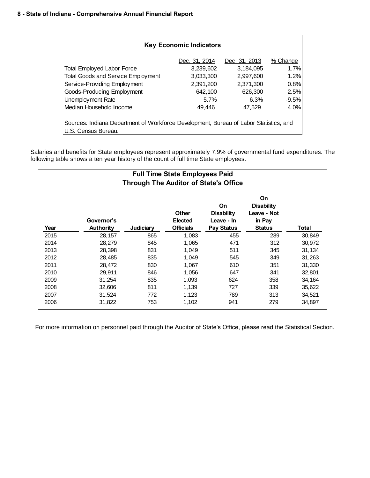| <b>Key Economic Indicators</b>            |                                                                                       |               |          |  |  |  |  |  |  |  |
|-------------------------------------------|---------------------------------------------------------------------------------------|---------------|----------|--|--|--|--|--|--|--|
|                                           | Dec. 31, 2014                                                                         | Dec. 31, 2013 | % Change |  |  |  |  |  |  |  |
| <b>Total Employed Labor Force</b>         | 3,239,602                                                                             | 3,184,095     | 1.7%     |  |  |  |  |  |  |  |
| <b>Total Goods and Service Employment</b> | 3,033,300                                                                             | 2,997,600     | 1.2%     |  |  |  |  |  |  |  |
| Service-Providing Employment              | 2,391,200                                                                             | 2.371.300     | 0.8%     |  |  |  |  |  |  |  |
| Goods-Producing Employment                | 642.100                                                                               | 626,300       | 2.5%     |  |  |  |  |  |  |  |
| Unemployment Rate                         | 5.7%                                                                                  | 6.3%          | $-9.5%$  |  |  |  |  |  |  |  |
| Median Household Income                   | 49.446                                                                                | 47.529        | 4.0%     |  |  |  |  |  |  |  |
| U.S. Census Bureau.                       | Sources: Indiana Department of Workforce Development, Bureau of Labor Statistics, and |               |          |  |  |  |  |  |  |  |

Salaries and benefits for State employees represent approximately 7.9% of governmental fund expenditures. The following table shows a ten year history of the count of full time State employees.

| <b>Full Time State Employees Paid</b><br><b>Through The Auditor of State's Office</b>                                                                                                                                                                        |        |     |       |     |     |        |  |  |  |  |
|--------------------------------------------------------------------------------------------------------------------------------------------------------------------------------------------------------------------------------------------------------------|--------|-----|-------|-----|-----|--------|--|--|--|--|
| On<br>On<br><b>Disability</b><br><b>Other</b><br><b>Disability</b><br>Leave - Not<br>Governor's<br><b>Elected</b><br>Leave - In<br>in Pay<br><b>Officials</b><br>Year<br>Judiciary<br><b>Pay Status</b><br><b>Authority</b><br><b>Status</b><br><b>Total</b> |        |     |       |     |     |        |  |  |  |  |
| 2015                                                                                                                                                                                                                                                         | 28,157 | 865 | 1,083 | 455 | 289 | 30,849 |  |  |  |  |
| 2014                                                                                                                                                                                                                                                         | 28,279 | 845 | 1,065 | 471 | 312 | 30,972 |  |  |  |  |
| 2013                                                                                                                                                                                                                                                         | 28,398 | 831 | 1.049 | 511 | 345 | 31,134 |  |  |  |  |
| 2012                                                                                                                                                                                                                                                         | 28,485 | 835 | 1,049 | 545 | 349 | 31,263 |  |  |  |  |
| 2011                                                                                                                                                                                                                                                         | 28,472 | 830 | 1,067 | 610 | 351 | 31,330 |  |  |  |  |
| 2010                                                                                                                                                                                                                                                         | 29,911 | 846 | 1,056 | 647 | 341 | 32,801 |  |  |  |  |
| 2009                                                                                                                                                                                                                                                         | 31,254 | 835 | 1,093 | 624 | 358 | 34,164 |  |  |  |  |
| 2008                                                                                                                                                                                                                                                         | 32,606 | 811 | 1,139 | 727 | 339 | 35,622 |  |  |  |  |
| 2007                                                                                                                                                                                                                                                         | 31,524 | 772 | 1,123 | 789 | 313 | 34,521 |  |  |  |  |
| 2006                                                                                                                                                                                                                                                         | 31,822 | 753 | 1,102 | 941 | 279 | 34,897 |  |  |  |  |

For more information on personnel paid through the Auditor of State's Office, please read the Statistical Section.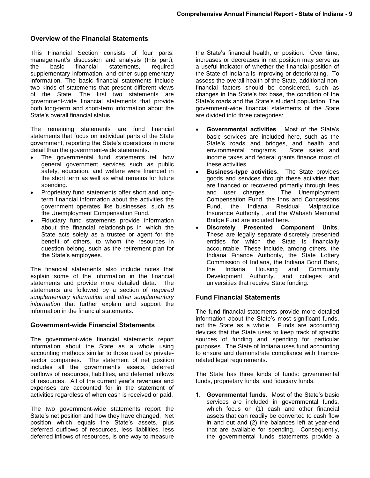# **Overview of the Financial Statements**

This Financial Section consists of four parts: management's discussion and analysis (this part), the basic financial statements, required supplementary information, and other supplementary information. The basic financial statements include two kinds of statements that present different views of the State. The first two statements are government-wide financial statements that provide both long-term and short-term information about the State's overall financial status.

The remaining statements are fund financial statements that focus on individual parts of the State government, reporting the State's operations in more detail than the government-wide statements.

- The governmental fund statements tell how general government services such as public safety, education, and welfare were financed in the short term as well as what remains for future spending.
- Proprietary fund statements offer short and longterm financial information about the activities the government operates like businesses, such as the Unemployment Compensation Fund.
- Fiduciary fund statements provide information about the financial relationships in which the State acts solely as a trustee or agent for the benefit of others, to whom the resources in question belong, such as the retirement plan for the State's employees.

The financial statements also include notes that explain some of the information in the financial statements and provide more detailed data. The statements are followed by a section of *required supplementary information* and *other supplementary information* that further explain and support the information in the financial statements.

#### **Government-wide Financial Statements**

The government-wide financial statements report information about the State as a whole using accounting methods similar to those used by privatesector companies. The statement of net position includes all the government's assets, deferred outflows of resources, liabilities, and deferred inflows of resources. All of the current year's revenues and expenses are accounted for in the statement of activities regardless of when cash is received or paid.

The two government-wide statements report the State's net position and how they have changed. Net position which equals the State's assets, plus deferred outflows of resources, less liabilities, less deferred inflows of resources, is one way to measure

the State's financial health, or position. Over time, increases or decreases in net position may serve as a useful indicator of whether the financial position of the State of Indiana is improving or deteriorating. To assess the overall health of the State, additional nonfinancial factors should be considered, such as changes in the State's tax base, the condition of the State's roads and the State's student population. The government-wide financial statements of the State are divided into three categories:

- **Governmental activities**. Most of the State's basic services are included here, such as the State's roads and bridges, and health and environmental programs. State sales and income taxes and federal grants finance most of these activities.
- **Business-type activities**. The State provides goods and services through these activities that are financed or recovered primarily through fees and user charges. The Unemployment Compensation Fund, the Inns and Concessions Fund, the Indiana Residual Malpractice Insurance Authority , and the Wabash Memorial Bridge Fund are included here.
- **Discretely Presented Component Units**. These are legally separate discretely presented entities for which the State is financially accountable. These include, among others, the Indiana Finance Authority, the State Lottery Commission of Indiana, the Indiana Bond Bank, the Indiana Housing and Community Development Authority, and colleges and universities that receive State funding.

# **Fund Financial Statements**

The fund financial statements provide more detailed information about the State's most significant funds, not the State as a whole. Funds are accounting devices that the State uses to keep track of specific sources of funding and spending for particular purposes. The State of Indiana uses fund accounting to ensure and demonstrate compliance with financerelated legal requirements.

The State has three kinds of funds: governmental funds, proprietary funds, and fiduciary funds.

**1. Governmental funds**. Most of the State's basic services are included in governmental funds, which focus on (1) cash and other financial assets that can readily be converted to cash flow in and out and (2) the balances left at year-end that are available for spending. Consequently, the governmental funds statements provide a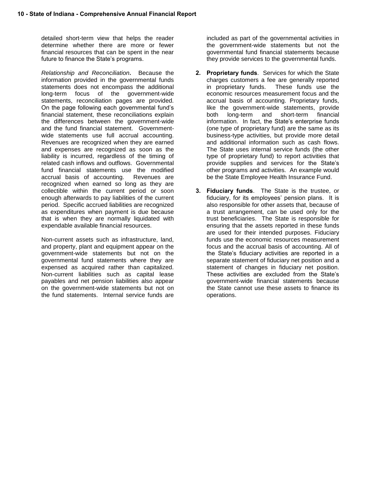detailed short-term view that helps the reader determine whether there are more or fewer financial resources that can be spent in the near future to finance the State's programs.

*Relationship and Reconciliation***.** Because the information provided in the governmental funds statements does not encompass the additional long-term focus of the government-wide statements, reconciliation pages are provided. On the page following each governmental fund's financial statement, these reconciliations explain the differences between the government-wide and the fund financial statement. Governmentwide statements use full accrual accounting. Revenues are recognized when they are earned and expenses are recognized as soon as the liability is incurred, regardless of the timing of related cash inflows and outflows. Governmental fund financial statements use the modified accrual basis of accounting. Revenues are recognized when earned so long as they are collectible within the current period or soon enough afterwards to pay liabilities of the current period. Specific accrued liabilities are recognized as expenditures when payment is due because that is when they are normally liquidated with expendable available financial resources.

Non-current assets such as infrastructure, land, and property, plant and equipment appear on the government-wide statements but not on the governmental fund statements where they are expensed as acquired rather than capitalized. Non-current liabilities such as capital lease payables and net pension liabilities also appear on the government-wide statements but not on the fund statements. Internal service funds are

included as part of the governmental activities in the government-wide statements but not the governmental fund financial statements because they provide services to the governmental funds.

- **2. Proprietary funds**. Services for which the State charges customers a fee are generally reported in proprietary funds. These funds use the economic resources measurement focus and the accrual basis of accounting. Proprietary funds, like the government-wide statements, provide both long-term and short-term financial information. In fact, the State's enterprise funds (one type of proprietary fund) are the same as its business-type activities, but provide more detail and additional information such as cash flows. The State uses internal service funds (the other type of proprietary fund) to report activities that provide supplies and services for the State's other programs and activities. An example would be the State Employee Health Insurance Fund.
- **3. Fiduciary funds**. The State is the trustee, or fiduciary, for its employees' pension plans. It is also responsible for other assets that, because of a trust arrangement, can be used only for the trust beneficiaries. The State is responsible for ensuring that the assets reported in these funds are used for their intended purposes. Fiduciary funds use the economic resources measurement focus and the accrual basis of accounting. All of the State's fiduciary activities are reported in a separate statement of fiduciary net position and a statement of changes in fiduciary net position. These activities are excluded from the State's government-wide financial statements because the State cannot use these assets to finance its operations.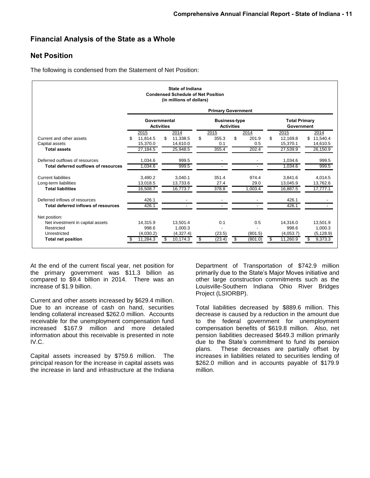# **Financial Analysis of the State as a Whole**

# **Net Position**

The following is condensed from the Statement of Net Position:

|                                      | State of Indiana<br><b>Condensed Schedule of Net Position</b><br>(in millions of dollars) |                                   |                          |                                           |                                    |                |  |  |  |  |
|--------------------------------------|-------------------------------------------------------------------------------------------|-----------------------------------|--------------------------|-------------------------------------------|------------------------------------|----------------|--|--|--|--|
|                                      |                                                                                           |                                   |                          | <b>Primary Government</b>                 |                                    |                |  |  |  |  |
|                                      |                                                                                           | Governmental<br><b>Activities</b> |                          | <b>Business-type</b><br><b>Activities</b> | <b>Total Primary</b><br>Government |                |  |  |  |  |
|                                      | 2015                                                                                      | 2014                              | 2015                     | 2014                                      | 2015                               | 2014           |  |  |  |  |
| Current and other assets             | 11.814.5<br>\$                                                                            | \$<br>11.338.5                    | 355.3<br>\$              | \$<br>201.9                               | \$<br>12.169.8                     | \$<br>11.540.4 |  |  |  |  |
| Capital assets                       | 15,370.0                                                                                  | 14,610.0                          | 0.1                      | 0.5                                       | 15,370.1                           | 14,610.5       |  |  |  |  |
| <b>Total assets</b>                  | 27,184.5                                                                                  | 25,948.5                          | 355.4                    | 202.4                                     | 27,539.9                           | 26,150.9       |  |  |  |  |
| Deferred outflows of resources       | 1,034.6                                                                                   | 999.5                             | $\overline{\phantom{a}}$ |                                           | 1,034.6                            | 999.5          |  |  |  |  |
| Total deferred outflows of resources | 1.034.6                                                                                   | 999.5                             |                          |                                           | 1.034.6                            | 999.5          |  |  |  |  |
| <b>Current liabilities</b>           | 3.490.2                                                                                   | 3.040.1                           | 351.4                    | 974.4                                     | 3.841.6                            | 4.014.5        |  |  |  |  |
| Long-term liabilities                | 13,018.5                                                                                  | 13,733.6                          | 27.4                     | 29.0                                      | 13,045.9                           | 13,762.6       |  |  |  |  |
| <b>Total liabilities</b>             | 16.508.7                                                                                  | 16,773.7                          | 378.8                    | 1.003.4                                   | 16.887.5                           | 17,777.1       |  |  |  |  |
| Deferred inflows of resources        | 426.1                                                                                     |                                   |                          |                                           | 426.1                              |                |  |  |  |  |
| Total deferred inflows of resources  | 426.1                                                                                     |                                   |                          |                                           | 426.1                              |                |  |  |  |  |
| Net position:                        |                                                                                           |                                   |                          |                                           |                                    |                |  |  |  |  |
| Net investment in capital assets     | 14.315.9                                                                                  | 13.501.4                          | 0.1                      | 0.5                                       | 14.316.0                           | 13,501.9       |  |  |  |  |
| Restricted                           | 998.6                                                                                     | 1.000.3                           |                          |                                           | 998.6                              | 1.000.3        |  |  |  |  |
| Unrestricted                         | (4,030.2)                                                                                 | (4,327.4)                         | (23.5)                   | (801.5)                                   | (4,053.7)                          | (5, 128.9)     |  |  |  |  |
| <b>Total net position</b>            | 11.284.3                                                                                  | 10,174.3<br>S                     | (23.4)                   | (801.0)<br>35                             | 11.260.9<br>S                      | 9,373.3        |  |  |  |  |
|                                      |                                                                                           |                                   |                          |                                           |                                    |                |  |  |  |  |

At the end of the current fiscal year, net position for the primary government was \$11.3 billion as compared to \$9.4 billion in 2014. There was an increase of \$1.9 billion.

Current and other assets increased by \$629.4 million. Due to an increase of cash on hand, securities lending collateral increased \$262.0 million. Accounts receivable for the unemployment compensation fund increased \$167.9 million and more detailed information about this receivable is presented in note IV.C.

Capital assets increased by \$759.6 million. The principal reason for the increase in capital assets was the increase in land and infrastructure at the Indiana

Department of Transportation of \$742.9 million primarily due to the State's Major Moves initiative and other large construction commitments such as the Louisville-Southern Indiana Ohio River Bridges Project (LSIORBP).

Total liabilities decreased by \$889.6 million. This decrease is caused by a reduction in the amount due to the federal government for unemployment compensation benefits of \$619.8 million. Also, net pension liabilities decreased \$649.3 million primarily due to the State's commitment to fund its pension plans. These decreases are partially offset by increases in liabilities related to securities lending of \$262.0 million and in accounts payable of \$179.9 million.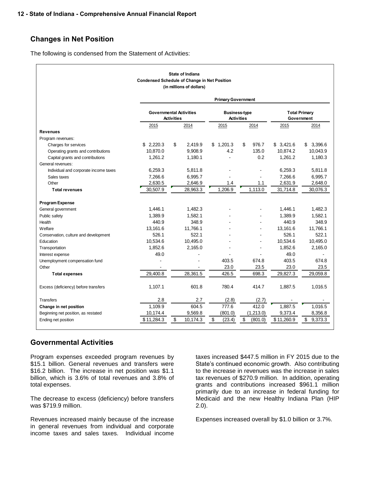# **Changes in Net Position**

The following is condensed from the Statement of Activities:

| State of Indiana<br><b>Condensed Schedule of Change in Net Position</b><br>(in millions of dollars) |                           |                                                     |              |                                           |                                    |               |  |  |  |  |  |
|-----------------------------------------------------------------------------------------------------|---------------------------|-----------------------------------------------------|--------------|-------------------------------------------|------------------------------------|---------------|--|--|--|--|--|
|                                                                                                     | <b>Primary Government</b> |                                                     |              |                                           |                                    |               |  |  |  |  |  |
|                                                                                                     |                           | <b>Governmental Activities</b><br><b>Activities</b> |              | <b>Business-type</b><br><b>Activities</b> | <b>Total Primary</b><br>Government |               |  |  |  |  |  |
|                                                                                                     | 2015                      | 2014                                                | 2015         | 2014                                      | 2015                               | 2014          |  |  |  |  |  |
| <b>Revenues</b>                                                                                     |                           |                                                     |              |                                           |                                    |               |  |  |  |  |  |
| Program revenues:                                                                                   |                           |                                                     |              |                                           |                                    |               |  |  |  |  |  |
| Charges for services                                                                                | \$2,220.3                 | \$<br>2,419.9                                       | \$1,201.3    | \$<br>976.7                               | \$3,421.6                          | \$3,396.6     |  |  |  |  |  |
| Operating grants and contributions                                                                  | 10.870.0                  | 9,908.9                                             | 4.2          | 135.0                                     | 10,874.2                           | 10,043.9      |  |  |  |  |  |
| Capital grants and contributions                                                                    | 1.261.2                   | 1,180.1                                             |              | 0.2                                       | 1.261.2                            | 1,180.3       |  |  |  |  |  |
| General revenues:                                                                                   |                           |                                                     |              |                                           |                                    |               |  |  |  |  |  |
| Individual and corporate income taxes                                                               | 6,259.3                   | 5,811.8                                             |              |                                           | 6,259.3                            | 5,811.8       |  |  |  |  |  |
| Sales taxes                                                                                         | 7,266.6                   | 6,995.7                                             |              |                                           | 7,266.6                            | 6,995.7       |  |  |  |  |  |
| Other                                                                                               | 2,630.5                   | 2,646.9                                             | 1.4          | 1.1                                       | 2,631.9                            | 2,648.0       |  |  |  |  |  |
| <b>Total revenues</b>                                                                               | 30.507.9                  | 28.963.3                                            | 1.206.9      | 1.113.0                                   | 31,714.8                           | 30,076.3      |  |  |  |  |  |
| <b>Program Expense</b>                                                                              |                           |                                                     |              |                                           |                                    |               |  |  |  |  |  |
| General government                                                                                  | 1,446.1                   | 1,482.3                                             |              |                                           | 1,446.1                            | 1,482.3       |  |  |  |  |  |
| Public safety                                                                                       | 1,389.9                   | 1,582.1                                             |              |                                           | 1,389.9                            | 1,582.1       |  |  |  |  |  |
| Health                                                                                              | 440.9                     | 348.9                                               |              |                                           | 440.9                              | 348.9         |  |  |  |  |  |
| Welfare                                                                                             | 13.161.6                  | 11.766.1                                            |              | $\overline{a}$                            | 13.161.6                           | 11,766.1      |  |  |  |  |  |
| Conservation, culture and development                                                               | 526.1                     | 522.1                                               |              |                                           | 526.1                              | 522.1         |  |  |  |  |  |
| Education                                                                                           | 10,534.6                  | 10,495.0                                            |              |                                           | 10,534.6                           | 10,495.0      |  |  |  |  |  |
| Transportation                                                                                      | 1,852.6                   | 2,165.0                                             |              |                                           | 1,852.6                            | 2,165.0       |  |  |  |  |  |
| Interest expense                                                                                    | 49.0                      |                                                     |              |                                           | 49.0                               |               |  |  |  |  |  |
| Unemployment compensation fund                                                                      |                           |                                                     | 403.5        | 674.8                                     | 403.5                              | 674.8         |  |  |  |  |  |
| Other                                                                                               |                           |                                                     | 23.0         | 23.5                                      | 23.0                               | 23.5          |  |  |  |  |  |
| <b>Total expenses</b>                                                                               | 29,400.8                  | 28,361.5                                            | 426.5        | 698.3                                     | 29,827.3                           | 29,059.8      |  |  |  |  |  |
| Excess (deficiency) before transfers                                                                | 1,107.1                   | 601.8                                               | 780.4        | 414.7                                     | 1,887.5                            | 1,016.5       |  |  |  |  |  |
| <b>Transfers</b>                                                                                    | 2.8                       | 2.7                                                 | (2.8)        | (2.7)                                     |                                    |               |  |  |  |  |  |
| Change in net position                                                                              | 1.109.9                   | 604.5                                               | 777.6        | 412.0                                     | 1.887.5                            | 1.016.5       |  |  |  |  |  |
| Beginning net position, as restated                                                                 | 10,174.4                  | 9,569.8                                             | (801.0)      | (1, 213.0)                                | 9,373.4                            | 8,356.8       |  |  |  |  |  |
| Ending net position                                                                                 | \$11,284.3                | \$<br>10,174.3                                      | \$<br>(23.4) | \$<br>(801.0)                             | \$11,260.9                         | \$<br>9,373.3 |  |  |  |  |  |

# **Governmental Activities**

Program expenses exceeded program revenues by \$15.1 billion. General revenues and transfers were \$16.2 billion. The increase in net position was \$1.1 billion, which is 3.6% of total revenues and 3.8% of total expenses.

The decrease to excess (deficiency) before transfers was \$719.9 million.

Revenues increased mainly because of the increase in general revenues from individual and corporate income taxes and sales taxes. Individual income

taxes increased \$447.5 million in FY 2015 due to the State's continued economic growth. Also contributing to the increase in revenues was the increase in sales tax revenues of \$270.9 million. In addition, operating grants and contributions increased \$961.1 million primarily due to an increase in federal funding for Medicaid and the new Healthy Indiana Plan (HIP 2.0).

Expenses increased overall by \$1.0 billion or 3.7%.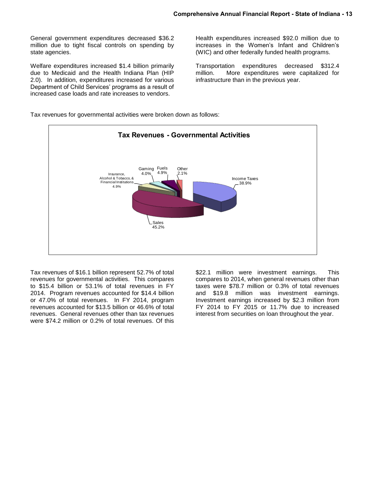General government expenditures decreased \$36.2 million due to tight fiscal controls on spending by state agencies.

Welfare expenditures increased \$1.4 billion primarily due to Medicaid and the Health Indiana Plan (HIP 2.0). In addition, expenditures increased for various Department of Child Services' programs as a result of increased case loads and rate increases to vendors.

Health expenditures increased \$92.0 million due to increases in the Women's Infant and Children's (WIC) and other federally funded health programs.

Transportation expenditures decreased \$312.4 million. More expenditures were capitalized for infrastructure than in the previous year.

Tax revenues for governmental activities were broken down as follows:



Tax revenues of \$16.1 billion represent 52.7% of total revenues for governmental activities. This compares to \$15.4 billion or 53.1% of total revenues in FY 2014. Program revenues accounted for \$14.4 billion or 47.0% of total revenues. In FY 2014, program revenues accounted for \$13.5 billion or 46.6% of total revenues. General revenues other than tax revenues were \$74.2 million or 0.2% of total revenues. Of this

\$22.1 million were investment earnings. This compares to 2014, when general revenues other than taxes were \$78.7 million or 0.3% of total revenues and \$19.8 million was investment earnings. Investment earnings increased by \$2.3 million from FY 2014 to FY 2015 or 11.7% due to increased interest from securities on loan throughout the year.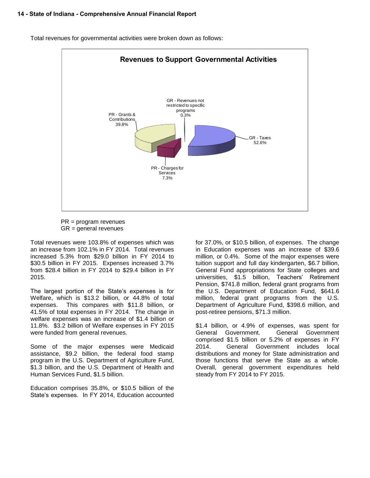

Total revenues for governmental activities were broken down as follows:

 PR = program revenues GR = general revenues

Total revenues were 103.8% of expenses which was an increase from 102.1% in FY 2014. Total revenues increased 5.3% from \$29.0 billion in FY 2014 to \$30.5 billion in FY 2015. Expenses increased 3.7% from \$28.4 billion in FY 2014 to \$29.4 billion in FY 2015.

The largest portion of the State's expenses is for Welfare, which is \$13.2 billion, or 44.8% of total expenses. This compares with \$11.8 billion, or 41.5% of total expenses in FY 2014. The change in welfare expenses was an increase of \$1.4 billion or 11.8%. \$3.2 billion of Welfare expenses in FY 2015 were funded from general revenues.

Some of the major expenses were Medicaid assistance, \$9.2 billion, the federal food stamp program in the U.S. Department of Agriculture Fund, \$1.3 billion, and the U.S. Department of Health and Human Services Fund, \$1.5 billion.

Education comprises 35.8%, or \$10.5 billion of the State's expenses. In FY 2014, Education accounted for 37.0%, or \$10.5 billion, of expenses. The change in Education expenses was an increase of \$39.6 million, or 0.4%. Some of the major expenses were tuition support and full day kindergarten, \$6.7 billion, General Fund appropriations for State colleges and universities, \$1.5 billion, Teachers' Retirement Pension, \$741.8 million, federal grant programs from the U.S. Department of Education Fund, \$641.6 million, federal grant programs from the U.S. Department of Agriculture Fund, \$398.6 million, and post-retiree pensions, \$71.3 million.

\$1.4 billion, or 4.9% of expenses, was spent for General Government. General Government comprised \$1.5 billion or 5.2% of expenses in FY 2014. General Government includes local distributions and money for State administration and those functions that serve the State as a whole. Overall, general government expenditures held steady from FY 2014 to FY 2015.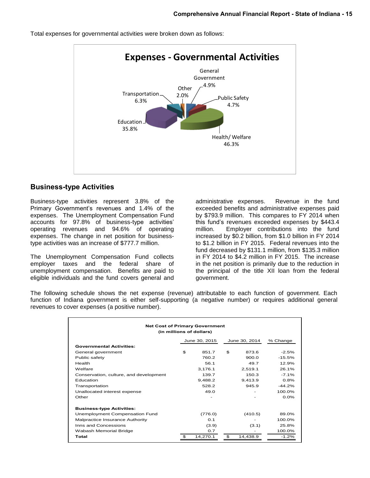

Total expenses for governmental activities were broken down as follows:

#### **Business-type Activities**

Business-type activities represent 3.8% of the Primary Government's revenues and 1.4% of the expenses. The Unemployment Compensation Fund accounts for 97.8% of business-type activities' operating revenues and 94.6% of operating expenses. The change in net position for businesstype activities was an increase of \$777.7 million.

The Unemployment Compensation Fund collects employer taxes and the federal share of unemployment compensation. Benefits are paid to eligible individuals and the fund covers general and administrative expenses. Revenue in the fund exceeded benefits and administrative expenses paid by \$793.9 million. This compares to FY 2014 when this fund's revenues exceeded expenses by \$443.4 million. Employer contributions into the fund increased by \$0.2 billion, from \$1.0 billion in FY 2014 to \$1.2 billion in FY 2015. Federal revenues into the fund decreased by \$131.1 million, from \$135.3 million in FY 2014 to \$4.2 million in FY 2015. The increase in the net position is primarily due to the reduction in the principal of the title XII loan from the federal government.

The following schedule shows the net expense (revenue) attributable to each function of government. Each function of Indiana government is either self-supporting (a negative number) or requires additional general revenues to cover expenses (a positive number).

| <b>Net Cost of Primary Government</b><br>(in millions of dollars) |    |               |    |               |          |  |  |  |  |
|-------------------------------------------------------------------|----|---------------|----|---------------|----------|--|--|--|--|
|                                                                   |    | June 30, 2015 |    | June 30, 2014 | % Change |  |  |  |  |
| <b>Governmental Activities:</b>                                   |    |               |    |               |          |  |  |  |  |
| General government                                                | \$ | 851.7         | \$ | 873.6         | $-2.5%$  |  |  |  |  |
| Public safety                                                     |    | 760.2         |    | 900.0         | $-15.5%$ |  |  |  |  |
| Health                                                            |    | 56.1          |    | 49.7          | 12.9%    |  |  |  |  |
| Welfare                                                           |    | 3,176.1       |    | 2,519.1       | 26.1%    |  |  |  |  |
| Conservation, culture, and development                            |    | 139.7         |    | 150.3         | $-7.1%$  |  |  |  |  |
| Education                                                         |    | 9,488.2       |    | 9,413.9       | 0.8%     |  |  |  |  |
| Transportation                                                    |    | 528.2         |    | 945.9         | $-44.2%$ |  |  |  |  |
| Unallocated interest expense                                      |    | 49.0          |    |               | 100.0%   |  |  |  |  |
| Other                                                             |    |               |    |               | $0.0\%$  |  |  |  |  |
| <b>Business-type Activities:</b>                                  |    |               |    |               |          |  |  |  |  |
| Unemployment Compensation Fund                                    |    | (776.0)       |    | (410.5)       | 89.0%    |  |  |  |  |
| Malpractice Insurance Authority                                   |    | 0.1           |    |               | 100.0%   |  |  |  |  |
| Inns and Concessions                                              |    | (3.9)         |    | (3.1)         | 25.8%    |  |  |  |  |
| Wabash Memorial Bridge                                            |    | 0.7           |    |               | 100.0%   |  |  |  |  |
| Total                                                             | \$ | 14,270.1      | \$ | 14,438.9      | $-1.2%$  |  |  |  |  |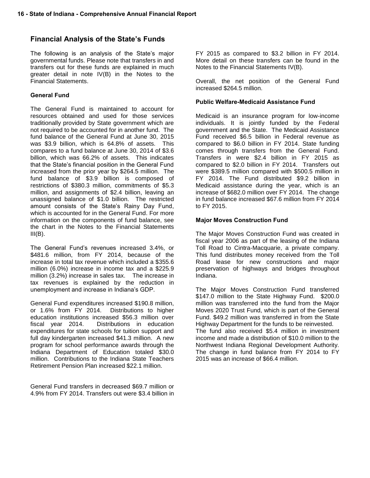# **Financial Analysis of the State's Funds**

The following is an analysis of the State's major governmental funds. Please note that transfers in and transfers out for these funds are explained in much greater detail in note IV(B) in the Notes to the Financial Statements.

#### **General Fund**

The General Fund is maintained to account for resources obtained and used for those services traditionally provided by State government which are not required to be accounted for in another fund. The fund balance of the General Fund at June 30, 2015 was \$3.9 billion, which is 64.8% of assets. This compares to a fund balance at June 30, 2014 of \$3.6 billion, which was 66.2% of assets. This indicates that the State's financial position in the General Fund increased from the prior year by \$264.5 million. The fund balance of \$3.9 billion is composed of restrictions of \$380.3 million, commitments of \$5.3 million, and assignments of \$2.4 billion, leaving an unassigned balance of \$1.0 billion. The restricted amount consists of the State's Rainy Day Fund, which is accounted for in the General Fund. For more information on the components of fund balance, see the chart in the Notes to the Financial Statements  $III(B)$ .

The General Fund's revenues increased 3.4%, or \$481.6 million, from FY 2014, because of the increase in total tax revenue which included a \$355.6 million (6.0%) increase in income tax and a \$225.9 million (3.2%) increase in sales tax. The increase in tax revenues is explained by the reduction in unemployment and increase in Indiana's GDP.

General Fund expenditures increased \$190.8 million, or 1.6% from FY 2014. Distributions to higher education institutions increased \$56.3 million over fiscal year 2014. Distributions in education expenditures for state schools for tuition support and full day kindergarten increased \$41.3 million. A new program for school performance awards through the Indiana Department of Education totaled \$30.0 million. Contributions to the Indiana State Teachers Retirement Pension Plan increased \$22.1 million.

General Fund transfers in decreased \$69.7 million or 4.9% from FY 2014. Transfers out were \$3.4 billion in FY 2015 as compared to \$3.2 billion in FY 2014. More detail on these transfers can be found in the Notes to the Financial Statements IV(B).

Overall, the net position of the General Fund increased \$264.5 million.

#### **Public Welfare-Medicaid Assistance Fund**

Medicaid is an insurance program for low-income individuals. It is jointly funded by the Federal government and the State. The Medicaid Assistance Fund received \$6.5 billion in Federal revenue as compared to \$6.0 billion in FY 2014. State funding comes through transfers from the General Fund. Transfers in were \$2.4 billion in FY 2015 as compared to \$2.0 billion in FY 2014. Transfers out were \$389.5 million compared with \$500.5 million in FY 2014. The Fund distributed \$9.2 billion in Medicaid assistance during the year, which is an increase of \$682.0 million over FY 2014. The change in fund balance increased \$67.6 million from FY 2014 to FY 2015.

#### **Major Moves Construction Fund**

The Major Moves Construction Fund was created in fiscal year 2006 as part of the leasing of the Indiana Toll Road to Cintra-Macquarie, a private company. This fund distributes money received from the Toll Road lease for new constructions and major preservation of highways and bridges throughout Indiana.

The Major Moves Construction Fund transferred \$147.0 million to the State Highway Fund. \$200.0 million was transferred into the fund from the Major Moves 2020 Trust Fund, which is part of the General Fund. \$49.2 million was transferred in from the State Highway Department for the funds to be reinvested. The fund also received \$5.4 million in investment income and made a distribution of \$10.0 million to the Northwest Indiana Regional Development Authority. The change in fund balance from FY 2014 to FY 2015 was an increase of \$66.4 million.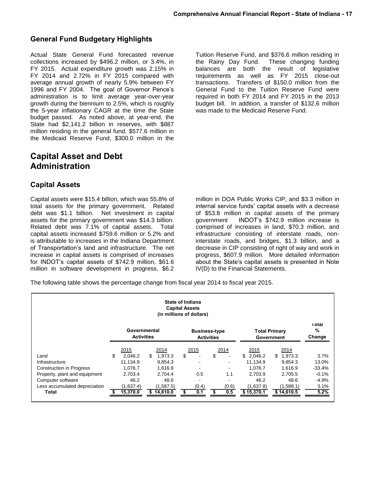# **General Fund Budgetary Highlights**

Actual State General Fund forecasted revenue collections increased by \$496.2 million, or 3.4%, in FY 2015. Actual expenditure growth was 2.15% in FY 2014 and 2.72% in FY 2015 compared with average annual growth of nearly 5.9% between FY 1996 and FY 2004. The goal of Governor Pence's administration is to limit average year-over-year growth during the biennium to 2.5%, which is roughly the 5-year inflationary CAGR at the time the State budget passed. As noted above, at year-end, the State had \$2,141.2 billion in reserves, with \$887 million residing in the general fund, \$577.6 million in the Medicaid Reserve Fund, \$300.0 million in the

# **Capital Asset and Debt Administration**

# **Capital Assets**

Capital assets were \$15.4 billion, which was 55.8% of total assets for the primary government. Related debt was \$1.1 billion. Net investment in capital assets for the primary government was \$14.3 billion. Related debt was 7.1% of capital assets. Total capital assets increased \$759.6 million or 5.2% and is attributable to increases in the Indiana Department of Transportation's land and infrastructure. The net increase in capital assets is comprised of increases for INDOT's capital assets of \$742.9 million, \$61.6 million in software development in progress, \$6.2

Tuition Reserve Fund, and \$376.6 million residing in the Rainy Day Fund. These changing funding balances are both the result of legislative requirements as well as FY 2015 close-out transactions. Transfers of \$150.0 million from the General Fund to the Tuition Reserve Fund were required in both FY 2014 and FY 2015 in the 2013 budget bill. In addition, a transfer of \$132.6 million was made to the Medicaid Reserve Fund.

million in DOA Public Works CIP, and \$3.3 million in internal service funds' capital assets with a decrease of \$53.8 million in capital assets of the primary government INDOT's \$742.9 million increase is comprised of increases in land, \$70.3 million, and infrastructure consisting of interstate roads, noninterstate roads, and bridges, \$1.3 billion, and a decrease in CIP consisting of right of way and work in progress, \$607.9 million. More detailed information about the State's capital assets is presented in Note IV(D) to the Financial Statements.

The following table shows the percentage change from fiscal year 2014 to fiscal year 2015.

| <b>State of Indiana</b><br><b>Capital Assets</b><br>(in millions of dollars) |    |                                   |     |            |    |                                           |    |       |                      |               |                          |
|------------------------------------------------------------------------------|----|-----------------------------------|-----|------------|----|-------------------------------------------|----|-------|----------------------|---------------|--------------------------|
|                                                                              |    | Governmental<br><b>Activities</b> |     |            |    | <b>Business-type</b><br><b>Activities</b> |    |       | <b>Total Primary</b> | Government    | ı otal<br>$\%$<br>Change |
|                                                                              |    | 2015                              |     | 2014       |    | 2015                                      |    | 2014  | 2015                 | 2014          |                          |
| Land                                                                         | \$ | 2.046.2                           | \$. | 1.973.3    | \$ |                                           | \$ |       | \$2.046.2            | \$<br>1.973.3 | 3.7%                     |
| Infrastructure                                                               |    | 11.134.9                          |     | 9.854.3    |    |                                           |    |       | 11.134.9             | 9,854.3       | 13.0%                    |
| <b>Construction in Progress</b>                                              |    | 1,076.7                           |     | 1.616.9    |    |                                           |    |       | 1.076.7              | 1.616.9       | $-33.4%$                 |
| Property, plant and equipment                                                |    | 2,703.4                           |     | 2.704.4    |    | 0.5                                       |    | 1.1   | 2.703.9              | 2.705.5       | $-0.1%$                  |
| Computer software                                                            |    | 46.2                              |     | 48.6       |    |                                           |    |       | 46.2                 | 48.6          | $-4.9%$                  |
| Less accumulated depreciation                                                |    | (1,637.4)                         |     | (1,587.5)  |    | (0.4)                                     |    | (0.6) | (1,637.8)            | (1,588.1)     | 3.1%                     |
| Total                                                                        |    | 15,370.0                          |     | \$14,610.0 | S  | 0.1                                       |    | 0.5   | \$15,370.1           | \$14,610.5    | 5.2%                     |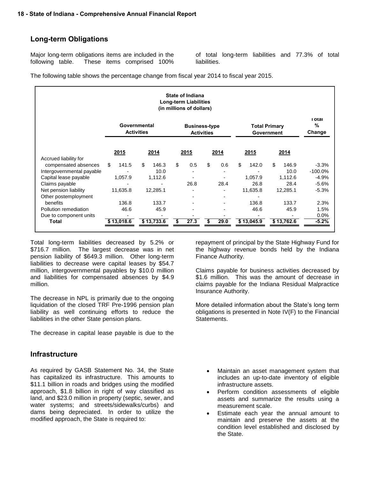# **Long-term Obligations**

Major long-term obligations items are included in the following table. These items comprised 100%

of total long-term liabilities and 77.3% of total liabilities.

The following table shows the percentage change from fiscal year 2014 to fiscal year 2015.

| <b>State of Indiana</b><br><b>Long-term Liabilities</b><br>(in millions of dollars) |             |                                   |                |                                           |                                    |                             |           |  |  |
|-------------------------------------------------------------------------------------|-------------|-----------------------------------|----------------|-------------------------------------------|------------------------------------|-----------------------------|-----------|--|--|
|                                                                                     |             | Governmental<br><b>Activities</b> |                | <b>Business-type</b><br><b>Activities</b> | <b>Total Primary</b><br>Government | <b>LOTAL</b><br>%<br>Change |           |  |  |
|                                                                                     | 2015        | 2014                              | 2015           | 2014                                      | 2015                               | 2014                        |           |  |  |
| Accrued liability for<br>compensated absences                                       | \$<br>141.5 | \$<br>146.3                       | \$<br>0.5      | \$<br>0.6                                 | \$<br>142.0                        | \$<br>146.9                 | $-3.3%$   |  |  |
| Intergovernmental payable                                                           |             | 10.0                              | $\blacksquare$ |                                           |                                    | 10.0                        | $-100.0%$ |  |  |
| Capital lease payable                                                               | 1,057.9     | 1,112.6                           |                |                                           | 1.057.9                            | 1,112.6                     | $-4.9%$   |  |  |
| Claims payable                                                                      |             |                                   | 26.8           | 28.4                                      | 26.8                               | 28.4                        | $-5.6%$   |  |  |
| Net pension liability                                                               | 11,635.8    | 12,285.1                          |                |                                           | 11,635.8                           | 12,285.1                    | $-5.3%$   |  |  |
| Other postemployment                                                                |             |                                   |                | $\overline{\phantom{0}}$                  |                                    |                             |           |  |  |
| benefits                                                                            | 136.8       | 133.7                             |                | $\blacksquare$                            | 136.8                              | 133.7                       | 2.3%      |  |  |
| Pollution remediation                                                               | 46.6        | 45.9                              |                |                                           | 46.6                               | 45.9                        | 1.5%      |  |  |
| Due to component units                                                              |             |                                   |                |                                           |                                    |                             | $0.0\%$   |  |  |
| <b>Total</b>                                                                        | \$13,018.6  | \$13,733.6                        | 27.3<br>\$     | 29.0                                      | \$13,045.9                         | \$13,762.6                  | $-5.2%$   |  |  |

Total long-term liabilities decreased by 5.2% or \$716.7 million. The largest decrease was in net pension liability of \$649.3 million. Other long-term liabilities to decrease were capital leases by \$54.7 million, intergovernmental payables by \$10.0 million and liabilities for compensated absences by \$4.9 million.

The decrease in NPL is primarily due to the ongoing liquidation of the closed TRF Pre-1996 pension plan liability as well continuing efforts to reduce the liabilities in the other State pension plans.

The decrease in capital lease payable is due to the

# **Infrastructure**

As required by GASB Statement No. 34, the State has capitalized its infrastructure. This amounts to \$11.1 billion in roads and bridges using the modified approach, \$1.8 billion in right of way classified as land, and \$23.0 million in property (septic, sewer, and water systems; and streets/sidewalks/curbs) and dams being depreciated. In order to utilize the modified approach, the State is required to:

repayment of principal by the State Highway Fund for the highway revenue bonds held by the Indiana Finance Authority.

Claims payable for business activities decreased by \$1.6 million. This was the amount of decrease in claims payable for the Indiana Residual Malpractice Insurance Authority.

More detailed information about the State's long term obligations is presented in Note IV(F) to the Financial Statements.

- Maintain an asset management system that includes an up-to-date inventory of eligible infrastructure assets.
- Perform condition assessments of eligible assets and summarize the results using a measurement scale.
- Estimate each year the annual amount to maintain and preserve the assets at the condition level established and disclosed by the State.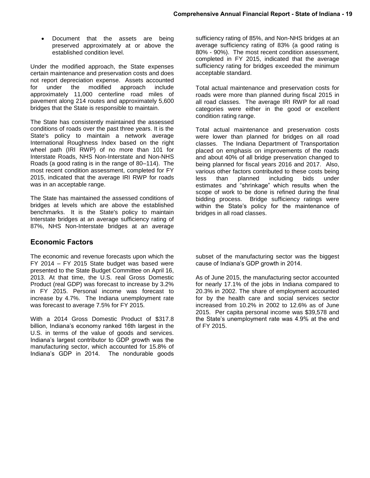Document that the assets are being preserved approximately at or above the established condition level.

Under the modified approach, the State expenses certain maintenance and preservation costs and does not report depreciation expense. Assets accounted for under the modified approach include approximately 11,000 centerline road miles of pavement along 214 routes and approximately 5,600 bridges that the State is responsible to maintain.

The State has consistently maintained the assessed conditions of roads over the past three years. It is the State's policy to maintain a network average International Roughness Index based on the right wheel path (IRI RWP) of no more than 101 for Interstate Roads, NHS Non-Interstate and Non-NHS Roads (a good rating is in the range of 80–114). The most recent condition assessment, completed for FY 2015, indicated that the average IRI RWP for roads was in an acceptable range.

The State has maintained the assessed conditions of bridges at levels which are above the established benchmarks. It is the State's policy to maintain Interstate bridges at an average sufficiency rating of 87%, NHS Non-Interstate bridges at an average

# **Economic Factors**

The economic and revenue forecasts upon which the FY 2014 – FY 2015 State budget was based were presented to the State Budget Committee on April 16, 2013. At that time, the U.S. real Gross Domestic Product (real GDP) was forecast to increase by 3.2% in FY 2015. Personal income was forecast to increase by 4.7%. The Indiana unemployment rate was forecast to average 7.5% for FY 2015.

With a 2014 Gross Domestic Product of \$317.8 billion, Indiana's economy ranked 16th largest in the U.S. in terms of the value of goods and services. Indiana's largest contributor to GDP growth was the manufacturing sector, which accounted for 15.8% of Indiana's GDP in 2014. The nondurable goods

sufficiency rating of 85%, and Non-NHS bridges at an average sufficiency rating of 83% (a good rating is 80% - 90%). The most recent condition assessment, completed in FY 2015, indicated that the average sufficiency rating for bridges exceeded the minimum acceptable standard.

Total actual maintenance and preservation costs for roads were more than planned during fiscal 2015 in all road classes. The average IRI RWP for all road categories were either in the good or excellent condition rating range.

Total actual maintenance and preservation costs were lower than planned for bridges on all road classes. The Indiana Department of Transportation placed on emphasis on improvements of the roads and about 40% of all bridge preservation changed to being planned for fiscal years 2016 and 2017. Also, various other factors contributed to these costs being less than planned including bids under estimates and "shrinkage" which results when the scope of work to be done is refined during the final bidding process. Bridge sufficiency ratings were within the State's policy for the maintenance of bridges in all road classes.

subset of the manufacturing sector was the biggest cause of Indiana's GDP growth in 2014.

As of June 2015, the manufacturing sector accounted for nearly 17.1% of the jobs in Indiana compared to 20.3% in 2002. The share of employment accounted for by the health care and social services sector increased from 10.2% in 2002 to 12.6% as of June 2015. Per capita personal income was \$39,578 and the State's unemployment rate was 4.9% at the end of FY 2015.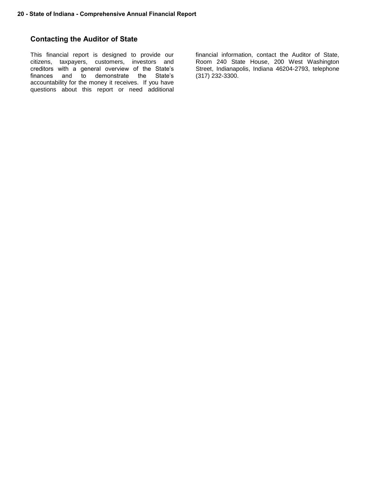# **Contacting the Auditor of State**

This financial report is designed to provide our citizens, taxpayers, customers, investors and creditors with a general overview of the State's finances and to demonstrate the State's accountability for the money it receives. If you have questions about this report or need additional financial information, contact the Auditor of State, Room 240 State House, 200 West Washington Street, Indianapolis, Indiana 46204-2793, telephone (317) 232-3300.